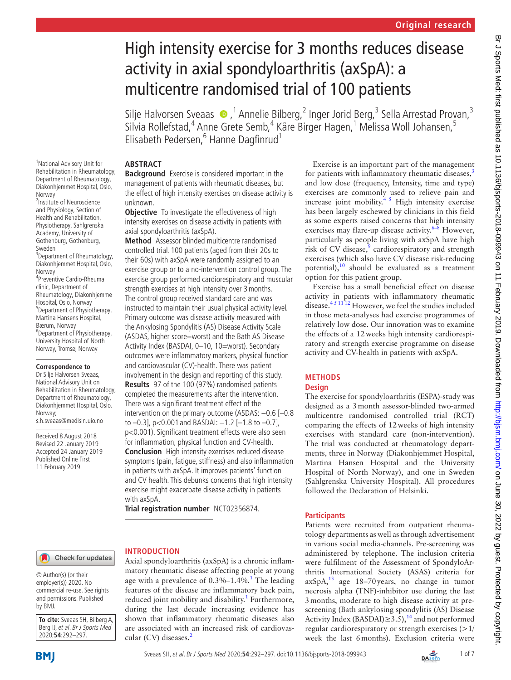# High intensity exercise for 3 months reduces disease activity in axial spondyloarthritis (axSpA): a multicentre randomised trial of 100 patients

Silje Halvorsen Sveaas  $\bullet$ , <sup>1</sup> Annelie Bilberg, 2 Inger Jorid Berg, <sup>3</sup> Sella Arrestad Provan, <sup>3</sup> Silvia Rollefstad,<sup>4</sup> Anne Grete Semb,<sup>4</sup> Kåre Birger Hagen,<sup>1</sup> Melissa Woll Johansen,<sup>5</sup> Elisabeth Pedersen, <sup>6</sup> Hanne Dagfinrud<sup>1</sup>

### **Abstract**

1 National Advisory Unit for Rehabilitation in Rheumatology, Department of Rheumatology, Diakonhjemmet Hospital, Oslo, Norway

2 Institute of Neuroscience and Physiology, Section of Health and Rehabilitation, Physiotherapy, Sahlgrenska Academy, University of Gothenburg, Gothenburg, Sweden

3 Department of Rheumatology, Diakonhjemmet Hospital, Oslo, Norway

4 Preventive Cardio-Rheuma clinic, Department of Rheumatology, Diakonhjemme Hospital, Oslo, Norway 5 Department of Physiotherapy, Martina Hansens Hospital, Bærum, Norway 6 Department of Physiotherapy, University Hospital of North Norway, Tromsø, Norway

#### **Correspondence to**

Dr Silje Halvorsen Sveaas, National Advisory Unit on Rehabilitation in Rheumatology, Department of Rheumatology, Diakonhjemmet Hospital, Oslo, Norway; s.h.sveaas@medisin.uio.no

Received 8 August 2018 Revised 22 January 2019 Accepted 24 January 2019 Published Online First 11 February 2019

**Background** Exercise is considered important in the management of patients with rheumatic diseases, but the effect of high intensity exercises on disease activity is unknown.

**Objective** To investigate the effectiveness of high intensity exercises on disease activity in patients with axial spondyloarthritis (axSpA).

**Method** Assessor blinded multicentre randomised controlled trial. 100 patients (aged from their 20s to their 60s) with axSpA were randomly assigned to an exercise group or to a no-intervention control group. The exercise group performed cardiorespiratory and muscular strength exercises at high intensity over 3months. The control group received standard care and was instructed to maintain their usual physical activity level. Primary outcome was disease activity measured with the Ankylosing Spondylitis (AS) Disease Activity Scale (ASDAS, higher score=worst) and the Bath AS Disease Activity Index (BASDAI, 0–10, 10=worst). Secondary outcomes were inflammatory markers, physical function and cardiovascular (CV)-health. There was patient involvement in the design and reporting of this study. **Results** 97 of the 100 (97%) randomised patients completed the measurements after the intervention. There was a significant treatment effect of the intervention on the primary outcome (ASDAS: −0.6 [–0.8 to –0.3], p<0.001 and BASDAI: −1.2 [–1.8 to –0.7], p<0.001). Significant treatment effects were also seen for inflammation, physical function and CV-health. **Conclusion** High intensity exercises reduced disease symptoms (pain, fatigue, stiffness) and also inflammation in patients with axSpA. It improves patients' function and CV health. This debunks concerns that high intensity exercise might exacerbate disease activity in patients with axSpA.

**Trial registration number** <NCT02356874>.

Axial spondyloarthritis (axSpA) is a chronic inflammatory rheumatic disease affecting people at young age with a prevalence of  $0.3\%$ –1.4%.<sup>1</sup> The leading features of the disease are inflammatory back pain, reduced joint mobility and disability.<sup>1</sup> Furthermore, during the last decade increasing evidence has shown that inflammatory rheumatic diseases also are associated with an increased risk of cardiovas-

**Introduction**

cular (CV) diseases.<sup>2</sup>

Check for updates

© Author(s) (or their employer(s)) 2020. No commercial re-use. See rights and permissions. Published by BMJ.

**To cite:** Sveaas SH, Bilberg A, Berg IJ, et al. Br J Sports Med 2020;**54**:292–297.



Exercise is an important part of the management for patients with inflammatory rheumatic diseases, $3$ and low dose (frequency, Intensity, time and type) exercises are commonly used to relieve pain and increase joint mobility.<sup>4 5</sup> High intensity exercise has been largely eschewed by clinicians in this field as some experts raised concerns that high intensity exercises may flare-up disease activity.<sup>6-8</sup> However, particularly as people living with axSpA have high risk of CV disease,<sup>[9](#page-6-4)</sup> cardiorespiratory and strength exercises (which also have CV disease risk-reducing potential), $10$  should be evaluated as a treatment option for this patient group.

Exercise has a small beneficial effect on disease activity in patients with inflammatory rheumatic disease.<sup>45 1112</sup> However, we feel the studies included in those meta-analyses had exercise programmes of relatively low dose. Our innovation was to examine the effects of a 12weeks high intensity cardiorespiratory and strength exercise programme on disease activity and CV-health in patients with axSpA.

#### **Methods Design**

The exercise for spondyloarthritis (ESPA)-study was designed as a 3month assessor-blinded two-armed multicentre randomised controlled trial (RCT) comparing the effects of 12weeks of high intensity exercises with standard care (non-intervention). The trial was conducted at rheumatology departments, three in Norway (Diakonhjemmet Hospital, Martina Hansen Hospital and the University Hospital of North Norway), and one in Sweden (Sahlgrenska University Hospital). All procedures followed the Declaration of Helsinki.

# **Participants**

Patients were recruited from outpatient rheumatology departments as well as through advertisement in various social media-channels. Pre-screening was administered by telephone. The inclusion criteria were fulfilment of the Assessment of SpondyloArthritis International Society (ASAS) criteria for  $axSpA<sub>13</sub>$  age 18–70 years, no change in tumor necrosis alpha (TNF)-inhibitor use during the last 3months, moderate to high disease activity at prescreening (Bath ankylosing spondylitis (AS) Disease Activity Index (BASDAI) $\geq$ 3.5),<sup>[14](#page-6-7)</sup> and not performed regular cardiorespiratory or strength exercises  $(>1/$ week the last 6months). Exclusion criteria were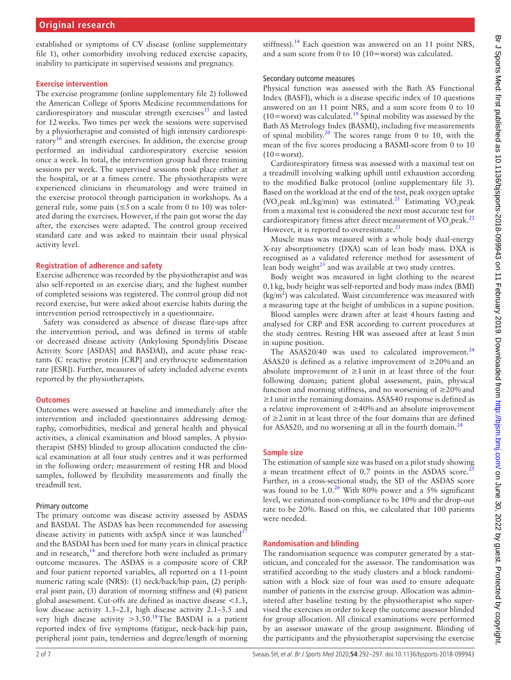established or symptoms of CV disease (online [supplementary](https://dx.doi.org/10.1136/bjsports-2018-099943)  [file 1\)](https://dx.doi.org/10.1136/bjsports-2018-099943), other comorbidity involving reduced exercise capacity, inability to participate in supervised sessions and pregnancy.

### **Exercise intervention**

The exercise programme (online [supplementary file 2](https://dx.doi.org/10.1136/bjsports-2018-099943)) followed the American College of Sports Medicine recommendations for cardiorespiratory and muscular strength exercises $15$  and lasted for 12weeks. Two times per week the sessions were supervised by a physiotherapist and consisted of high intensity cardiorespi-ratory<sup>[16](#page-6-9)</sup> and strength exercises. In addition, the exercise group performed an individual cardiorespiratory exercise session once a week. In total, the intervention group had three training sessions per week. The supervised sessions took place either at the hospital, or at a fitness centre. The physiotherapists were experienced clinicians in rheumatology and were trained in the exercise protocol through participation in workshops. As a general rule, some pain ( $\leq$ 5 on a scale from 0 to 10) was tolerated during the exercises. However, if the pain got worse the day after, the exercises were adapted. The control group received standard care and was asked to maintain their usual physical activity level.

## **Registration of adherence and safety**

Exercise adherence was recorded by the physiotherapist and was also self-reported in an exercise diary, and the highest number of completed sessions was registered. The control group did not record exercise, but were asked about exercise habits during the intervention period retrospectively in a questionnaire.

Safety was considered as absence of disease flare-ups after the intervention period, and was defined in terms of stable or decreased disease activity (Ankylosing Spondylitis Disease Activity Score [ASDAS] and BASDAI), and acute phase reactants (C reactive protein [CRP] and erythrocyte sedimentation rate [ESR]). Further, measures of safety included adverse events reported by the physiotherapists.

# **Outcomes**

Outcomes were assessed at baseline and immediately after the intervention and included questionnaires addressing demography, comorbidities, medical and general health and physical activities, a clinical examination and blood samples. A physiotherapist (SHS) blinded to group allocation conducted the clinical examination at all four study centres and it was performed in the following order; measurement of resting HR and blood samples, followed by flexibility measurements and finally the treadmill test.

# Primary outcome

The primary outcome was disease activity assessed by ASDAS and BASDAI. The ASDAS has been recommended for assessing disease activity in patients with  $axSpA$  since it was launched<sup>1</sup> and the BASDAI has been used for many years in clinical practice and in research, $14$  and therefore both were included as primary outcome measures. The ASDAS is a composite score of CRP and four patient reported variables, all reported on a 11-point numeric rating scale (NRS): (1) neck/back/hip pain, (2) peripheral joint pain, (3) duration of morning stiffness and (4) patient global assessment. Cut-offs are defined as inactive disease  $\leq 1.3$ , low disease activity 1.3–2.1, high disease activity 2.1–3.5 and very high disease activity  $>3.50$ .<sup>[18](#page-6-11)</sup>The BASDAI is a patient reported index of five symptoms (fatigue, neck-back-hip pain, peripheral joint pain, tenderness and degree/length of morning

stiffness).<sup>[14](#page-6-7)</sup> Each question was answered on an 11 point NRS, and a sum score from 0 to 10 (10=worst) was calculated.

### Secondary outcome measures

Physical function was assessed with the Bath AS Functional Index (BASFI), which is a disease specific index of 10 questions answered on an 11 point NRS, and a sum score from 0 to 10  $(10=$ worst) was calculated.<sup>19</sup> Spinal mobility was assessed by the Bath AS Metrology Index (BASMI), including five measurements of spinal mobility.<sup>20</sup> The scores range from 0 to 10, with the mean of the five scores producing a BASMI-score from 0 to 10  $(10=$ worst).

Cardiorespiratory fitness was assessed with a maximal test on a treadmill involving walking uphill until exhaustion according to the modified Balke protocol (online [supplementary file 3\)](https://dx.doi.org/10.1136/bjsports-2018-099943). Based on the workload at the end of the test, peak oxygen uptake  $(VO<sub>2</sub> peak mL/kg/min)$  was estimated.<sup>[21](#page-6-14)</sup> Estimating  $VO<sub>2</sub>peak$ from a maximal test is considered the next most accurate test for cardiorespiratory fitness after direct measurement of  $VO<sub>2</sub>peak.<sup>22</sup>$  $VO<sub>2</sub>peak.<sup>22</sup>$  $VO<sub>2</sub>peak.<sup>22</sup>$ However, it is reported to overestimate. $21$ 

Muscle mass was measured with a whole body dual-energy X-ray absorptiometry (DXA) scan of lean body mass. DXA is recognised as a validated reference method for assessment of lean body weight<sup>[23](#page-6-16)</sup> and was available at two study centres.

Body weight was measured in light clothing to the nearest 0.1kg, body height was self-reported and body mass index (BMI)  $(kg/m<sup>2</sup>)$  was calculated. Waist circumference was measured with a measuring tape at the height of umbilicus in a supine position.

Blood samples were drawn after at least 4hours fasting and analysed for CRP and ESR according to current procedures at the study centres. Resting HR was assessed after at least 5min in supine position.

The ASAS20/40 was used to calculated improvement.<sup>[24](#page-6-17)</sup> ASAS20 is defined as a relative improvement of ≥20%and an absolute improvement of  $\geq$ 1 unit in at least three of the four following domain; patient global assessment, pain, physical function and morning stiffness, and no worsening of ≥20%and ≥1unit in the remaining domains. ASAS40 response is defined as a relative improvement of ≥40%and an absolute improvement of ≥2unit in at least three of the four domains that are defined for ASAS20, and no worsening at all in the fourth domain.<sup>[24](#page-6-17)</sup>

# **Sample size**

The estimation of sample size was based on a pilot study showing a mean treatment effect of 0.7 points in the ASDAS score.<sup>2</sup> Further, in a cross-sectional study, the SD of the ASDAS score was found to be  $1.0<sup>26</sup>$  $1.0<sup>26</sup>$  $1.0<sup>26</sup>$  With 80% power and a 5% significant level, we estimated non-compliance to be 10% and the drop-out rate to be 20%. Based on this, we calculated that 100 patients were needed.

# **Randomisation and blinding**

The randomisation sequence was computer generated by a statistician, and concealed for the assessor. The randomisation was stratified according to the study clusters and a block randomisation with a block size of four was used to ensure adequate number of patients in the exercise group. Allocation was administered after baseline testing by the physiotherapist who supervised the exercises in order to keep the outcome assessor blinded for group allocation. All clinical examinations were performed by an assessor unaware of the group assignment. Blinding of the participants and the physiotherapist supervising the exercise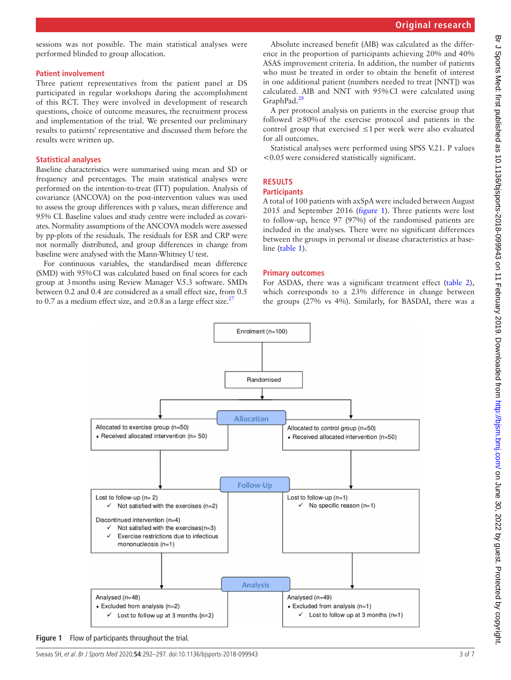sessions was not possible. The main statistical analyses were performed blinded to group allocation.

#### **Patient involvement**

Three patient representatives from the patient panel at DS participated in regular workshops during the accomplishment of this RCT. They were involved in development of research questions, choice of outcome measures, the recruitment process and implementation of the trial. We presented our preliminary results to patients' representative and discussed them before the results were written up.

#### **Statistical analyses**

Baseline characteristics were summarised using mean and SD or frequency and percentages. The main statistical analyses were performed on the intention-to-treat (ITT) population. Analysis of covariance (ANCOVA) on the post-intervention values was used to assess the group differences with p values, mean difference and 95% CI. Baseline values and study centre were included as covariates. Normality assumptions of the ANCOVA models were assessed by pp-plots of the residuals. The residuals for ESR and CRP were not normally distributed, and group differences in change from baseline were analysed with the Mann-Whitney U test.

For continuous variables, the standardised mean difference (SMD) with 95%CI was calculated based on final scores for each group at 3months using Review Manager V.5.3 software. SMDs between 0.2 and 0.4 are considered as a small effect size, from 0.5 to 0.7 as a medium effect size, and  $\geq 0.8$  as a large effect size.<sup>[27](#page-6-20)</sup>

Absolute increased benefit (AIB) was calculated as the difference in the proportion of participants achieving 20% and 40% ASAS improvement criteria. In addition, the number of patients who must be treated in order to obtain the benefit of interest in one additional patient (numbers needed to treat [NNT]) was calculated. AIB and NNT with 95%CI were calculated using GraphPad.[28](#page-6-21)

A per protocol analysis on patients in the exercise group that followed ≥80%of the exercise protocol and patients in the control group that exercised ≤1per week were also evaluated for all outcomes.

Statistical analyses were performed using SPSS V.21. P values <0.05were considered statistically significant.

#### **Results Participants**

A total of 100 patients with axSpA were included between August 2015 and September 2016 [\(figure](#page-2-0) 1). Three patients were lost to follow-up, hence 97 (97%) of the randomised patients are included in the analyses. There were no significant differences between the groups in personal or disease characteristics at baseline [\(table](#page-3-0) 1).

## **Primary outcomes**

For ASDAS, there was a significant treatment effect [\(table](#page-3-1) 2), which corresponds to a 23% difference in change between the groups (27% vs 4%). Similarly, for BASDAI, there was a



<span id="page-2-0"></span>**Figure 1** Flow of participants throughout the trial.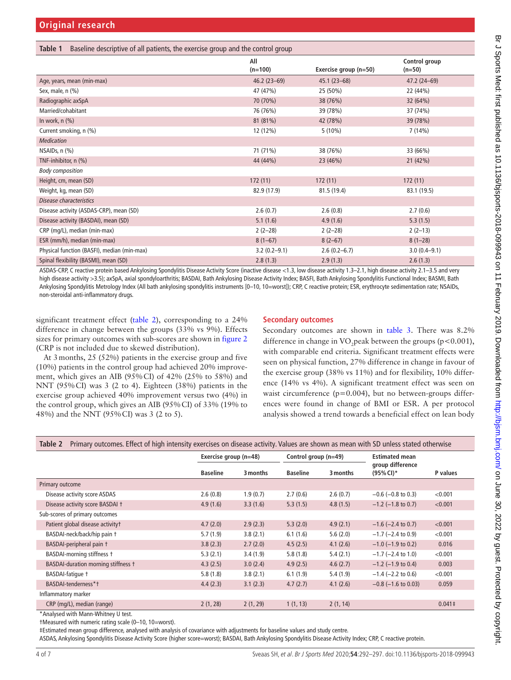<span id="page-3-0"></span>

| Table 1<br>Baseline descriptive of all patients, the exercise group and the control group |                  |                       |                           |  |  |  |
|-------------------------------------------------------------------------------------------|------------------|-----------------------|---------------------------|--|--|--|
|                                                                                           | All<br>$(n=100)$ | Exercise group (n=50) | Control group<br>$(n=50)$ |  |  |  |
| Age, years, mean (min-max)                                                                | $46.2(23-69)$    | $45.1(23-68)$         | 47.2 (24-69)              |  |  |  |
| Sex, male, n (%)                                                                          | 47 (47%)         | 25 (50%)              | 22 (44%)                  |  |  |  |
| Radiographic axSpA                                                                        | 70 (70%)         | 38 (76%)              | 32(64%)                   |  |  |  |
| Married/cohabitant                                                                        | 76 (76%)         | 39 (78%)              | 37 (74%)                  |  |  |  |
| In work, $n$ $(\%)$                                                                       | 81 (81%)         | 42 (78%)              | 39 (78%)                  |  |  |  |
| Current smoking, n (%)                                                                    | 12 (12%)         | $5(10\%)$             | 7(14%)                    |  |  |  |
| <b>Medication</b>                                                                         |                  |                       |                           |  |  |  |
| NSAIDs, $n$ $(\%)$                                                                        | 71 (71%)         | 38 (76%)              | 33 (66%)                  |  |  |  |
| TNF-inhibitor, n (%)                                                                      | 44 (44%)         | 23 (46%)              | 21(42%)                   |  |  |  |
| <b>Body composition</b>                                                                   |                  |                       |                           |  |  |  |
| Height, cm, mean (SD)                                                                     | 172(11)          | 172(11)               | 172(11)                   |  |  |  |
| Weight, kg, mean (SD)                                                                     | 82.9 (17.9)      | 81.5 (19.4)           | 83.1 (19.5)               |  |  |  |
| Disease characteristics                                                                   |                  |                       |                           |  |  |  |
| Disease activity (ASDAS-CRP), mean (SD)                                                   | 2.6(0.7)         | 2.6(0.8)              | 2.7(0.6)                  |  |  |  |
| Disease activity (BASDAI), mean (SD)                                                      | 5.1(1.6)         | 4.9(1.6)              | 5.3(1.5)                  |  |  |  |
| CRP (mg/L), median (min-max)                                                              | $2(2-28)$        | $2(2-28)$             | $2(2-13)$                 |  |  |  |
| ESR (mm/h), median (min-max)                                                              | $8(1-67)$        | $8(2-67)$             | $8(1-28)$                 |  |  |  |
| Physical function (BASFI), median (min-max)                                               | $3.2(0.2 - 9.1)$ | $2.6(0.2 - 6.7)$      | $3.0(0.4 - 9.1)$          |  |  |  |
| Spinal flexibility (BASMI), mean (SD)                                                     | 2.8(1.3)         | 2.9(1.3)              | 2.6(1.3)                  |  |  |  |

ASDAS-CRP, C reactive protein based Ankylosing Spondylitis Disease Activity Score (inactive disease <1.3, low disease activity 1.3–2.1, high disease activity 2.1–3.5 and very high disease activity >3.5); axSpA, axial spondyloarthritis; BASDAI, Bath Ankylosing Disease Activity Index; BASFI, Bath Ankylosing Spondylitis Functional Index; BASMI, Bath Ankylosing Spondylitis Metrology Index (All bath ankylosing spondylitis instruments [0–10, 10=worst]); CRP, C reactive protein; ESR, erythrocyte sedimentation rate; NSAIDs, non-steroidal anti-inflammatory drugs.

significant treatment effect ([table](#page-3-1) 2), corresponding to a 24% difference in change between the groups (33% vs 9%). Effects sizes for primary outcomes with sub-scores are shown in [figure](#page-4-0) 2 (CRP is not included due to skewed distribution).

At 3months, 25 (52%) patients in the exercise group and five (10%) patients in the control group had achieved 20% improvement, which gives an AIB (95%CI) of 42% (25% to 58%) and NNT (95%CI) was 3 (2 to 4). Eighteen (38%) patients in the exercise group achieved 40% improvement versus two (4%) in the control group, which gives an AIB (95%CI) of 33% (19% to 48%) and the NNT (95%CI) was 3 (2 to 5).

# **Secondary outcomes**

Secondary outcomes are shown in [table](#page-4-1) 3. There was 8.2% difference in change in  $VO<sub>2</sub>$  peak between the groups (p<0.001), with comparable end criteria. Significant treatment effects were seen on physical function, 27% difference in change in favour of the exercise group (38% vs 11%) and for flexibility, 10% difference (14% vs 4%). A significant treatment effect was seen on waist circumference (p=0.004), but no between-groups differences were found in change of BMI or ESR. A per protocol analysis showed a trend towards a beneficial effect on lean body

<span id="page-3-1"></span>

| Primary outcomes. Effect of high intensity exercises on disease activity. Values are shown as mean with SD unless stated otherwise<br>Table 2 |                       |          |                      |          |                               |             |  |
|-----------------------------------------------------------------------------------------------------------------------------------------------|-----------------------|----------|----------------------|----------|-------------------------------|-------------|--|
|                                                                                                                                               | Exercise group (n=48) |          | Control group (n=49) |          | <b>Estimated mean</b>         |             |  |
|                                                                                                                                               | <b>Baseline</b>       | 3 months | <b>Baseline</b>      | 3 months | group difference<br>(95% CI)* | P values    |  |
| Primary outcome                                                                                                                               |                       |          |                      |          |                               |             |  |
| Disease activity score ASDAS                                                                                                                  | 2.6(0.8)              | 1.9(0.7) | 2.7(0.6)             | 2.6(0.7) | $-0.6$ ( $-0.8$ to 0.3)       | < 0.001     |  |
| Disease activity score BASDAI +                                                                                                               | 4.9(1.6)              | 3.3(1.6) | 5.3(1.5)             | 4.8(1.5) | $-1.2$ ( $-1.8$ to 0.7)       | < 0.001     |  |
| Sub-scores of primary outcomes                                                                                                                |                       |          |                      |          |                               |             |  |
| Patient global disease activityt                                                                                                              | 4.7(2.0)              | 2.9(2.3) | 5.3(2.0)             | 4.9(2.1) | $-1.6$ ( $-2.4$ to 0.7)       | < 0.001     |  |
| BASDAI-neck/back/hip pain t                                                                                                                   | 5.7(1.9)              | 3.8(2.1) | 6.1(1.6)             | 5.6(2.0) | $-1.7$ ( $-2.4$ to 0.9)       | < 0.001     |  |
| BASDAI-peripheral pain t                                                                                                                      | 3.8(2.3)              | 2.7(2.0) | 4.5(2.5)             | 4.1(2.6) | $-1.0$ ( $-1.9$ to 0.2)       | 0.016       |  |
| BASDAI-morning stiffness t                                                                                                                    | 5.3(2.1)              | 3.4(1.9) | 5.8(1.8)             | 5.4(2.1) | $-1.7$ ( $-2.4$ to 1.0)       | < 0.001     |  |
| BASDAI-duration morning stiffness t                                                                                                           | 4.3(2.5)              | 3.0(2.4) | 4.9(2.5)             | 4.6(2.7) | $-1.2$ (-1.9 to 0.4)          | 0.003       |  |
| <b>BASDAI-fatique +</b>                                                                                                                       | 5.8(1.8)              | 3.8(2.1) | 6.1(1.9)             | 5.4(1.9) | $-1.4$ ( $-2.2$ to 0.6)       | < 0.001     |  |
| BASDAI-tenderness*t                                                                                                                           | 4.4(2.3)              | 3.1(2.3) | 4.7(2.7)             | 4.1(2.6) | $-0.8$ (-1.6 to 0.03)         | 0.059       |  |
| Inflammatory marker                                                                                                                           |                       |          |                      |          |                               |             |  |
| CRP (mg/L), median (range)                                                                                                                    | 2(1, 28)              | 2(1, 29) | 1(1, 13)             | 2(1, 14) |                               | $0.041 \pm$ |  |

\*Analysed with Mann-Whitney U test.

†Measured with numeric rating scale (0–10, 10=worst).

‡Estimated mean group difference, analysed with analysis of covariance with adjustments for baseline values and study centre.

ASDAS, Ankylosing Spondylitis Disease Activity Score (higher score=worst); BASDAI, Bath Ankylosing Spondylitis Disease Activity Index; CRP, C reactive protein.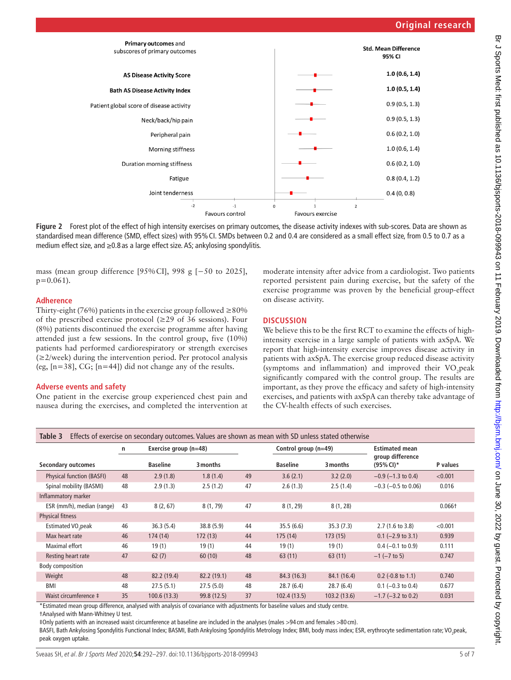

<span id="page-4-0"></span>Figure 2 Forest plot of the effect of high intensity exercises on primary outcomes, the disease activity indexes with sub-scores. Data are shown as standardised mean difference (SMD, effect sizes) with 95%CI. SMDs between 0.2 and 0.4 are considered as a small effect size, from 0.5 to 0.7 as a medium effect size, and ≥0.8 as a large effect size. AS; ankylosing spondylitis.

mass (mean group difference [95%CI], 998 g [−50 to 2025],  $p=0.061$ ).

#### **Adherence**

Thirty-eight (76%) patients in the exercise group followed  $\geq 80\%$ of the prescribed exercise protocol ( $\geq$ 29 of 36 sessions). Four (8%) patients discontinued the exercise programme after having attended just a few sessions. In the control group, five (10%) patients had performed cardiorespiratory or strength exercises (≥2/week) during the intervention period. Per protocol analysis (eg, [n=38], CG; [n=44]) did not change any of the results.

#### **Adverse events and safety**

One patient in the exercise group experienced chest pain and nausea during the exercises, and completed the intervention at

moderate intensity after advice from a cardiologist. Two patients reported persistent pain during exercise, but the safety of the exercise programme was proven by the beneficial group-effect on disease activity.

#### **Discussion**

We believe this to be the first RCT to examine the effects of highintensity exercise in a large sample of patients with axSpA. We report that high-intensity exercise improves disease activity in patients with axSpA. The exercise group reduced disease activity (symptoms and inflammation) and improved their  $VO<sub>2</sub>peak$ significantly compared with the control group. The results are important, as they prove the efficacy and safety of high-intensity exercises, and patients with axSpA can thereby take advantage of the CV-health effects of such exercises.

<span id="page-4-1"></span>

| Effects of exercise on secondary outcomes. Values are shown as mean with SD unless stated otherwise<br>Table 3 |    |                 |                       |    |                      |             |                               |                    |
|----------------------------------------------------------------------------------------------------------------|----|-----------------|-----------------------|----|----------------------|-------------|-------------------------------|--------------------|
|                                                                                                                | n  |                 | Exercise group (n=48) |    | Control group (n=49) |             | <b>Estimated mean</b>         |                    |
| <b>Secondary outcomes</b>                                                                                      |    | <b>Baseline</b> | 3 months              |    | <b>Baseline</b>      | 3 months    | group difference<br>(95% CI)* | P values           |
| <b>Physical function (BASFI)</b>                                                                               | 48 | 2.9(1.8)        | 1.8(1.4)              | 49 | 3.6(2.1)             | 3.2(2.0)    | $-0.9$ ( $-1.3$ to 0.4)       | < 0.001            |
| Spinal mobility (BASMI)                                                                                        | 48 | 2.9(1.3)        | 2.5(1.2)              | 47 | 2.6(1.3)             | 2.5(1.4)    | $-0.3$ ( $-0.5$ to 0.06)      | 0.016              |
| Inflammatory marker                                                                                            |    |                 |                       |    |                      |             |                               |                    |
| ESR (mm/h), median (range)                                                                                     | 43 | 8(2, 67)        | 8(1, 79)              | 47 | 8(1, 29)             | 8(1, 28)    |                               | 0.066 <sup>†</sup> |
| Physical fitness                                                                                               |    |                 |                       |    |                      |             |                               |                    |
| Estimated VO <sub>, peak</sub>                                                                                 | 46 | 36.3(5.4)       | 38.8 (5.9)            | 44 | 35.5(6.6)            | 35.3(7.3)   | $2.7(1.6 \text{ to } 3.8)$    | < 0.001            |
| Max heart rate                                                                                                 | 46 | 174 (14)        | 172(13)               | 44 | 175 (14)             | 173(15)     | $0.1$ (-2.9 to 3.1)           | 0.939              |
| Maximal effort                                                                                                 | 46 | 19(1)           | 19(1)                 | 44 | 19(1)                | 19(1)       | $0.4 (-0.1 \text{ to } 0.9)$  | 0.111              |
| Resting heart rate                                                                                             | 47 | 62(7)           | 60(10)                | 48 | 63(11)               | 63(11)      | $-1$ ( $-7$ to 5)             | 0.747              |
| Body composition                                                                                               |    |                 |                       |    |                      |             |                               |                    |
| Weight                                                                                                         | 48 | 82.2 (19.4)     | 82.2 (19.1)           | 48 | 84.3 (16.3)          | 84.1 (16.4) | $0.2$ (-0.8 to 1.1)           | 0.740              |
| BMI                                                                                                            | 48 | 27.5(5.1)       | 27.5(5.0)             | 48 | 28.7(6.4)            | 28.7(6.4)   | $0.1$ (-0.3 to 0.4)           | 0.677              |
| Waist circumference ‡<br>                                                                                      | 35 | 100.6(13.3)     | 99.8 (12.5)           | 37 | 102.4 (13.5)         | 103.2(13.6) | $-1.7$ ( $-3.2$ to 0.2)       | 0.031              |

\*Estimated mean group difference, analysed with analysis of covariance with adjustments for baseline values and study centre. †Analysed with Mann-Whitney U test.

‡Only patients with an increased waist circumference at baseline are included in the analyses (males >94 cm and females >80 cm).

BASFI, Bath Ankylosing Spondylitis Functional Index; BASMI, Bath Ankylosing Spondylitis Metrology Index; BMI, body mass index; ESR, erythrocyte sedimentation rate; VO<sub>2</sub>peak, peak oxygen uptake.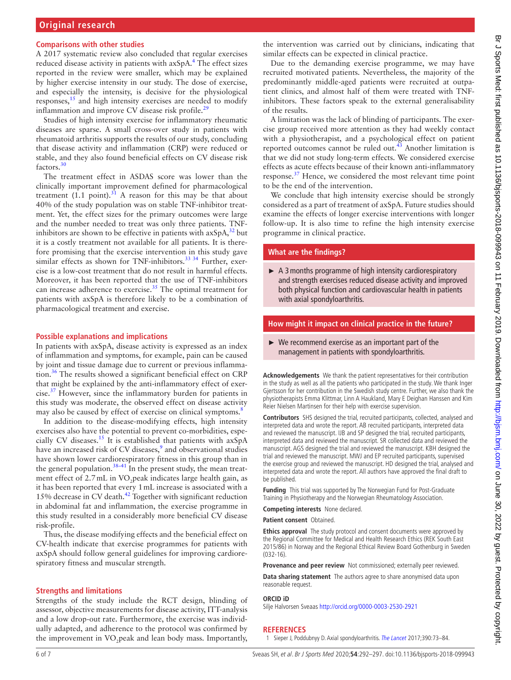# **Original research**

#### **Comparisons with other studies**

A 2017 systematic review also concluded that regular exercises reduced disease activity in patients with axSpA.<sup>4</sup> The effect sizes reported in the review were smaller, which may be explained by higher exercise intensity in our study. The dose of exercise, and especially the intensity, is decisive for the physiological responses,<sup>15</sup> and high intensity exercises are needed to modify inflammation and improve CV disease risk profile.<sup>[29](#page-6-22)</sup>

Studies of high intensity exercise for inflammatory rheumatic diseases are sparse. A small cross-over study in patients with rheumatoid arthritis supports the results of our study, concluding that disease activity and inflammation (CRP) were reduced or stable, and they also found beneficial effects on CV disease risk factors.[30](#page-6-23)

The treatment effect in ASDAS score was lower than the clinically important improvement defined for pharmacological treatment  $(1.1 \text{ point})$ .<sup>31</sup> A reason for this may be that about 40% of the study population was on stable TNF-inhibitor treatment. Yet, the effect sizes for the primary outcomes were large and the number needed to treat was only three patients. TNFinhibitors are shown to be effective in patients with  $axSpA$ <sup>32</sup> but it is a costly treatment not available for all patients. It is therefore promising that the exercise intervention in this study gave similar effects as shown for TNF-inhibitors.<sup>[33 34](#page-6-26)</sup> Further, exercise is a low-cost treatment that do not result in harmful effects. Moreover, it has been reported that the use of TNF-inhibitors can increase adherence to exercise.<sup>35</sup> The optimal treatment for patients with axSpA is therefore likely to be a combination of pharmacological treatment and exercise.

#### **Possible explanations and implications**

In patients with axSpA, disease activity is expressed as an index of inflammation and symptoms, for example, pain can be caused by joint and tissue damage due to current or previous inflammation.<sup>36</sup> The results showed a significant beneficial effect on CRP that might be explained by the anti-inflammatory effect of exer-cise.<sup>[37](#page-6-29)</sup> However, since the inflammatory burden for patients in this study was moderate, the observed effect on disease activity may also be caused by effect of exercise on clinical symptoms.<sup>8</sup>

In addition to the disease-modifying effects, high intensity exercises also have the potential to prevent co-morbidities, especially CV diseases.<sup>15</sup> It is established that patients with axSpA have an increased risk of CV diseases,<sup>9</sup> and observational studies have shown lower cardiorespiratory fitness in this group than in the general population.<sup>38-41</sup> In the present study, the mean treatment effect of 2.7 mL in VO<sub>2</sub>peak indicates large health gain, as it has been reported that every 1mL increase is associated with a 15% decrease in CV death.<sup>42</sup> Together with significant reduction in abdominal fat and inflammation, the exercise programme in this study resulted in a considerably more beneficial CV disease risk-profile.

Thus, the disease modifying effects and the beneficial effect on CV-health indicate that exercise programmes for patients with axSpA should follow general guidelines for improving cardiorespiratory fitness and muscular strength.

#### **Strengths and limitations**

Strengths of the study include the RCT design, blinding of assessor, objective measurements for disease activity, ITT-analysis and a low drop-out rate. Furthermore, the exercise was individually adapted, and adherence to the protocol was confirmed by the improvement in VO<sub>2</sub> peak and lean body mass. Importantly,

the intervention was carried out by clinicians, indicating that similar effects can be expected in clinical practice.

Due to the demanding exercise programme, we may have recruited motivated patients. Nevertheless, the majority of the predominantly middle-aged patients were recruited at outpatient clinics, and almost half of them were treated with TNFinhibitors. These factors speak to the external generalisability of the results.

A limitation was the lack of blinding of participants. The exercise group received more attention as they had weekly contact with a physiotherapist, and a psychological effect on patient reported outcomes cannot be ruled out.<sup>[43](#page-6-33)</sup> Another limitation is that we did not study long-term effects. We considered exercise effects as acute effects because of their known anti-inflammatory response.<sup>[37](#page-6-29)</sup> Hence, we considered the most relevant time point to be the end of the intervention.

We conclude that high intensity exercise should be strongly considered as a part of treatment of axSpA. Future studies should examine the effects of longer exercise interventions with longer follow-up. It is also time to refine the high intensity exercise programme in clinical practice.

#### **What are the findings?**

► A 3months programme of high intensity cardiorespiratory and strength exercises reduced disease activity and improved both physical function and cardiovascular health in patients with axial spondyloarthritis.

#### **How might it impact on clinical practice in the future?**

► We recommend exercise as an important part of the management in patients with spondyloarthritis.

**Acknowledgements** We thank the patient representatives for their contribution in the study as well as all the patients who participated in the study. We thank Inger Gjertsson for her contribution in the Swedish study centre. Further, we also thank the physiotherapists Emma Klittmar, Linn A Haukland, Mary E Deighan Hanssen and Kim Reier Nielsen Martinsen for their help with exercise supervision.

**Contributors** SHS designed the trial, recruited participants, collected, analysed and interpreted data and wrote the report. AB recruited participants, interpreted data and reviewed the manuscript. IJB and SP designed the trial, recruited participants, interpreted data and reviewed the manuscript. SR collected data and reviewed the manuscript. AGS designed the trial and reviewed the manuscript. KBH designed the trial and reviewed the manuscript. MWJ and EP recruited participants, supervised the exercise group and reviewed the manuscript. HD designed the trial, analysed and interpreted data and wrote the report. All authors have approved the final draft to be published.

**Funding** This trial was supported by The Norwegian Fund for Post-Graduate Training in Physiotherapy and the Norwegian Rheumatology Association.

**Competing interests** None declared.

**Patient consent** Obtained.

**Ethics approval** The study protocol and consent documents were approved by the Regional Committee for Medical and Health Research Ethics (REK South East 2015/86) in Norway and the Regional Ethical Review Board Gothenburg in Sweden  $(032 - 16)$ .

**Provenance and peer review** Not commissioned; externally peer reviewed.

**Data sharing statement** The authors agree to share anonymised data upon reasonable request.

#### **ORCID iD**

Silje Halvorsen Sveaas <http://orcid.org/0000-0003-2530-2921>

#### **References**

<span id="page-5-0"></span>1 Sieper J, Poddubnyy D. Axial spondyloarthritis. [The Lancet](http://dx.doi.org/10.1016/S0140-6736(16)31591-4) 2017;390:73-84.